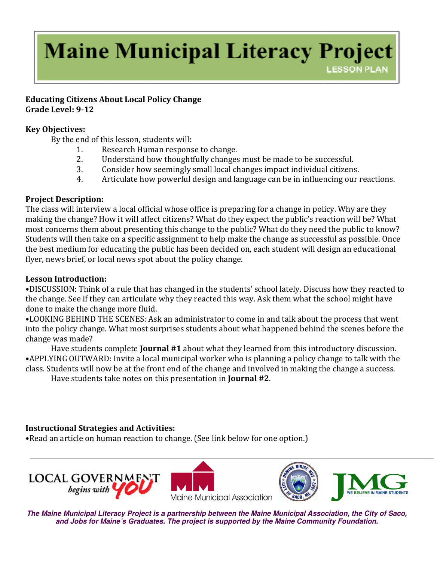# **Maine Municipal Literacy Project LESSON PLAN**

### Educating Citizens About Local Policy Change Grade Level: 9-12

### Key Objectives:

By the end of this lesson, students will:

- 1. Research Human response to change.
- 2. Understand how thoughtfully changes must be made to be successful.
- 3. Consider how seemingly small local changes impact individual citizens.
- 2. Understand how thoughtfully changes must be made to be successful.<br>3. Consider how seemingly small local changes impact individual citizens.<br>4. Articulate how powerful design and language can be in influencing our react

# Project Description:

The class will interview a local official whose office is preparing for a change in policy. Why are they making the change? How it will affect citizens? What do they expect the public's reaction will be? What most concerns them about presenting this change to the public? What do they need the public to know? Students will then take on a specific assignment to help make the change as successful as possible. Once the best medium for educating the public has been decided on, each student will design an educational flyer, news brief, or local news spot about the policy change. **C** the end of this lesson, students will:<br>
2. Understand Markwolling thanges must be made to be successful.<br>
2. Understand Mow thoughtfully changes must be made to be successful.<br>
2. Understand Mow thoughtfully changes mu

# Lesson Introduction:

.DISCUSSION: Think of a rule that has changed in the students' school lately. Discuss how they reacted to the change. See if they can articulate why they reacted this way. Ask them what the school might have done to make the change more fluid. ool lately. Discuss how they reacted to<br>k them what the school might have<br>and talk about the process that went<br>appened behind the scenes before the

•LOOKING BEHIND THE SCENES: Ask an administrator to come in and talk about the process that went into the policy change. What most surprises students about what happened behind the sce change was made?

Have students complete Journal #1 about what they learned from this introductory discussion. •APPLYING OUTWARD: Invite a local municipal worker who is planning a policy change to talk with the class. Students will now be at the front end of the change and involved in making the change a success.<br>Have students take notes on this presentation in **Journal #2**. this introductory discussion.<br>policy change to talk with the<br>naking the change a success.

Have students take notes on this presentation in **Journal** #2.

# Instructional Strategies and Activities:

• Read an article on human reaction to change. (See link below for one option.)







**The Maine Municipal Literacy Project is a partnership between the Maine Municipal Association, the City of Saco, and Jobs for Maine's Graduates. The project is supported by the Maine Community Foundation.**